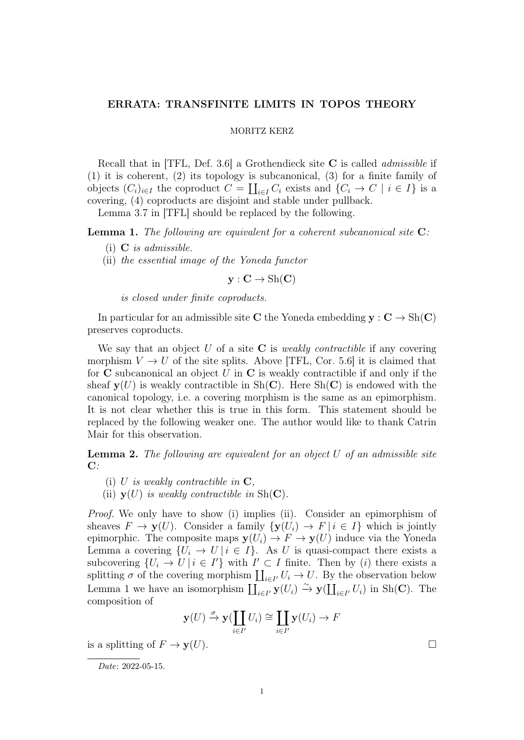## ERRATA: TRANSFINITE LIMITS IN TOPOS THEORY

## MORITZ KERZ

Recall that in  $[TFL, Def. 3.6]$  a Grothendieck site **C** is called *admissible* if (1) it is coherent, (2) its topology is subcanonical, (3) for a finite family of objects  $(C_i)_{i\in I}$  the coproduct  $C = \coprod_{i\in I} C_i$  exists and  $\{C_i \to C \mid i \in I\}$  is a covering, (4) coproducts are disjoint and stable under pullback.

Lemma 3.7 in [TFL] should be replaced by the following.

Lemma 1. The following are equivalent for a coherent subcanonical site C:

- (i) C is admissible.
- (ii) the essential image of the Yoneda functor

 $y: C \to Sh(C)$ 

is closed under finite coproducts.

In particular for an admissible site C the Yoneda embedding  $y : C \to Sh(C)$ preserves coproducts.

We say that an object U of a site C is *weakly contractible* if any covering morphism  $V \to U$  of the site splits. Above [TFL, Cor. 5.6] it is claimed that for  $C$  subcanonical an object U in  $C$  is weakly contractible if and only if the sheaf  $y(U)$  is weakly contractible in Sh(C). Here Sh(C) is endowed with the canonical topology, i.e. a covering morphism is the same as an epimorphism. It is not clear whether this is true in this form. This statement should be replaced by the following weaker one. The author would like to thank Catrin Mair for this observation.

**Lemma 2.** The following are equivalent for an object  $U$  of an admissible site  $\mathbf{C}$ :

- (i) U is weakly contractible in  $C$ ,
- (ii)  $y(U)$  is weakly contractible in Sh(C).

Proof. We only have to show (i) implies (ii). Consider an epimorphism of sheaves  $F \to \mathbf{y}(U)$ . Consider a family  $\{\mathbf{y}(U_i) \to F \mid i \in I\}$  which is jointly epimorphic. The composite maps  $y(U_i) \to F \to y(U)$  induce via the Yoneda Lemma a covering  $\{U_i \to U \mid i \in I\}$ . As U is quasi-compact there exists a subcovering  $\{U_i \to U \mid i \in I'\}$  with  $I' \subset I$  finite. Then by (i) there exists a splitting  $\sigma$  of the covering morphism  $\coprod_{i\in I'} U_i \to U$ . By the observation below Lemma 1 we have an isomorphism  $\coprod_{i\in I'}\mathbf{y}(U_i) \xrightarrow{\sim} \mathbf{y}(\coprod_{i\in I'}U_i)$  in Sh(C). The composition of

$$
\mathbf{y}(U) \xrightarrow{\sigma} \mathbf{y}(\coprod_{i \in I'} U_i) \cong \coprod_{i \in I'} \mathbf{y}(U_i) \to F
$$

is a splitting of  $F \to \mathbf{v}(U)$ .

Date: 2022-05-15.